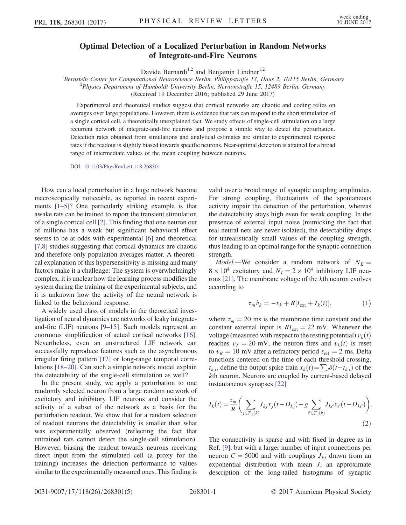## Optimal Detection of a Localized Perturbation in Random Networks of Integrate-and-Fire Neurons

Davide Bernardi<sup>1,2</sup> and Benjamin Lindner<sup>1,2</sup>

<sup>1</sup> Bernstein Center for Computational Neuroscience Berlin, Philippstraße 13, Haus 2, 10115 Berlin, Germany <sup>2</sup> Physics Department of Humboldt University Parlin, Neutonstraße 15, 12480 Berlin, Germany  $P<sup>2</sup>$ Physics Department of Humboldt University Berlin, Newtonstraße 15, 12489 Berlin, Germany

(Received 19 December 2016; published 29 June 2017)

Experimental and theoretical studies suggest that cortical networks are chaotic and coding relies on averages over large populations. However, there is evidence that rats can respond to the short stimulation of a single cortical cell, a theoretically unexplained fact. We study effects of single-cell stimulation on a large recurrent network of integrate-and-fire neurons and propose a simple way to detect the perturbation. Detection rates obtained from simulations and analytical estimates are similar to experimental response rates if the readout is slightly biased towards specific neurons. Near-optimal detection is attained for a broad range of intermediate values of the mean coupling between neurons.

DOI: [10.1103/PhysRevLett.118.268301](https://doi.org/10.1103/PhysRevLett.118.268301)

How can a local perturbation in a huge network become macroscopically noticeable, as reported in recent experiments [1–[5\]?](#page-3-0) One particularly striking example is that awake rats can be trained to report the transient stimulation of a single cortical cell [\[2\]](#page-3-1). This finding that one neuron out of millions has a weak but significant behavioral effect seems to be at odds with experimental [\[6\]](#page-4-0) and theoretical [\[7,8\]](#page-4-1) studies suggesting that cortical dynamics are chaotic and therefore only population averages matter. A theoretical explanation of this hypersensitivity is missing and many factors make it a challenge: The system is overwhelmingly complex, it is unclear how the learning process modifies the system during the training of the experimental subjects, and it is unknown how the activity of the neural network is linked to the behavioral response.

A widely used class of models in the theoretical investigation of neural dynamics are networks of leaky integrateand-fire (LIF) neurons [9–[15\].](#page-4-2) Such models represent an enormous simplification of actual cortical networks [\[16\]](#page-4-3). Nevertheless, even an unstructured LIF network can successfully reproduce features such as the asynchronous irregular firing pattern [\[17\]](#page-4-4) or long-range temporal correlations [\[18](#page-4-5)–20]. Can such a simple network model explain the detectability of the single-cell stimulation as well?

In the present study, we apply a perturbation to one randomly selected neuron from a large random network of excitatory and inhibitory LIF neurons and consider the activity of a subset of the network as a basis for the perturbation readout. We show that for a random selection of readout neurons the detectability is smaller than what was experimentally observed (reflecting the fact that untrained rats cannot detect the single-cell stimulation). However, biasing the readout towards neurons receiving direct input from the stimulated cell (a proxy for the training) increases the detection performance to values similar to the experimentally measured ones. This finding is valid over a broad range of synaptic coupling amplitudes. For strong coupling, fluctuations of the spontaneous activity impair the detection of the perturbation, whereas the detectability stays high even for weak coupling. In the presence of external input noise (mimicking the fact that real neural nets are never isolated), the detectability drops for unrealistically small values of the coupling strength, thus leading to an optimal range for the synaptic connection strength.

*Model*.—We consider a random network of  $N_E =$  $8 \times 10^4$  excitatory and  $N_I = 2 \times 10^4$  inhibitory LIF neurons [\[21\].](#page-4-6) The membrane voltage of the kth neuron evolves according to

$$
\tau_m \dot{v}_k = -v_k + R[I_{\text{ext}} + I_k(t)],\tag{1}
$$

where  $\tau_m = 20$  ms is the membrane time constant and the constant external input is  $RI_{ext} = 22$  mV. Whenever the voltage (measured with respect to the resting potential)  $v_k(t)$ reaches  $v_T = 20$  mV, the neuron fires and  $v_k(t)$  is reset to  $v_R = 10$  mV after a refractory period  $\tau_{ref} = 2$  ms. Delta functions centered on the time of each threshold crossing,  $t_{k,i}$ , define the output spike train  $x_k(t) = \sum_i \delta(t-t_{k,i})$  of the kth neuron. Neurons are coupled by current-based delayed instantaneous synapses [\[22\]](#page-4-7)

$$
I_k(t) = \frac{\tau_m}{R} \bigg( \sum_{j \in \mathcal{P}_\epsilon(k)} J_{kj} x_j (t - D_{kj}) - g \sum_{\ell \in \mathcal{P}_i(k)} J_{k\ell} x_\ell (t - D_{k\ell}) \bigg). \tag{2}
$$

The connectivity is sparse and with fixed in degree as in Ref. [\[9\]](#page-4-2), but with a larger number of input connections per neuron  $C = 5000$  and with couplings  $J_{ki}$  drawn from an exponential distribution with mean J, an approximate description of the long-tailed histograms of synaptic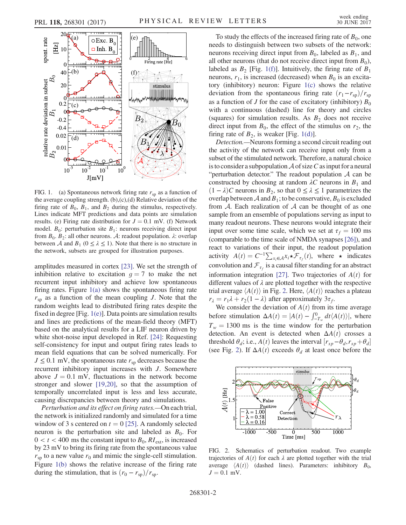<span id="page-1-0"></span>

FIG. 1. (a) Spontaneous network firing rate  $r_{sp}$  as a function of the average coupling strength. (b),(c),(d) Relative deviation of the firing rate of  $B_0$ ,  $B_1$ , and  $B_2$  during the stimulus, respectively. Lines indicate MFT predictions and data points are simulation results. (e) Firing rate distribution for  $J = 0.1$  mV. (f) Network model.  $B_0$ : perturbation site  $B_1$ : neurons receiving direct input from  $B_0$ .  $B_2$ : all other neurons. A: readout population.  $\lambda$ : overlap between A and  $B_1$  ( $0 \le \lambda \le 1$ ). Note that there is no structure in the network, subsets are grouped for illustration purposes.

amplitudes measured in cortex [\[23\]](#page-4-8). We set the strength of inhibition relative to excitation  $q = 7$  to make the net recurrent input inhibitory and achieve low spontaneous firing rates. Figure [1\(a\)](#page-1-0) shows the spontaneous firing rate  $r_{sp}$  as a function of the mean coupling J. Note that the random weights lead to distributed firing rates despite the fixed in degree [Fig.  $1(e)$ ]. Data points are simulation results and lines are predictions of the mean-field theory (MFT) based on the analytical results for a LIF neuron driven by white shot-noise input developed in Ref. [\[24\]](#page-4-9): Requesting self-consistency for input and output firing rates leads to mean field equations that can be solved numerically. For  $J \leq 0.1$  mV, the spontaneous rate  $r_{sp}$  decreases because the recurrent inhibitory input increases with J. Somewhere above  $J = 0.1$  mV, fluctuations in the network become stronger and slower [\[19,20\],](#page-4-10) so that the assumption of temporally uncorrelated input is less and less accurate, causing discrepancies between theory and simulations.

Perturbation and its effect on firing rates.—On each trial, the network is initialized randomly and simulated for a time window of 3 s centered on  $t = 0$  [\[25\]](#page-4-11). A randomly selected neuron is the perturbation site and labeled as  $B_0$ . For  $0 < t < 400$  ms the constant input to  $B_0$ ,  $RI_{ext}$ , is increased by 23 mV to bring its firing rate from the spontaneous value  $r_{\rm{sp}}$  to a new value  $r_0$  and mimic the single-cell stimulation. Figure [1\(b\)](#page-1-0) shows the relative increase of the firing rate during the stimulation, that is  $(r_0 - r_{\rm sp})/r_{\rm sp}$ .

To study the effects of the increased firing rate of  $B_0$ , one needs to distinguish between two subsets of the network: neurons receiving direct input from  $B_0$ , labeled as  $B_1$ , and all other neurons (that do not receive direct input from  $B_0$ ), labeled as  $B_2$  [Fig. [1\(f\)](#page-1-0)]. Intuitively, the firing rate of  $B_1$ neurons,  $r_1$ , is increased (decreased) when  $B_0$  is an excitatory (inhibitory) neuron: Figure [1\(c\)](#page-1-0) shows the relative deviation from the spontaneous firing rate  $(r_1 - r_{\rm sp})/r_{\rm sp}$ as a function of J for the case of excitatory (inhibitory)  $B_0$ with a continuous (dashed) line for theory and circles (squares) for simulation results. As  $B_2$  does not receive direct input from  $B_0$ , the effect of the stimulus on  $r_2$ , the firing rate of  $B_2$ , is weaker [Fig. [1\(d\)](#page-1-0)].

Detection.—Neurons forming a second circuit reading out the activity of the network can receive input only from a subset of the stimulated network. Therefore, a natural choice is to consider a subpopulation  $A$  of size C as input for a neural "perturbation detector." The readout population  $A$  can be constructed by choosing at random  $\lambda C$  neurons in  $B_1$  and  $(1 - \lambda)C$  neurons in  $B_2$ , so that  $0 \le \lambda \le 1$  parametrizes the overlap between A and  $B_1$ ; to be conservative,  $B_0$  is excluded from  $A$ . Each realization of  $A$  can be thought of as one sample from an ensemble of populations serving as input to many readout neurons. These neurons would integrate their input over some time scale, which we set at  $\tau_f = 100$  ms (comparable to the time scale of NMDA synapses [\[26\]\)](#page-4-12), and react to variations of their input, the readout population activity  $A(t) = C^{-1} \sum_{x_i \in A} x_i \star \mathcal{F}_{\tau_f}(t)$ , where  $\star$  indicates convolution and  $\mathcal{F}_{\tau_f}$  is a causal filter standing for an abstract information integration [\[27\]](#page-4-13). Two trajectories of  $A(t)$  for different values of  $\lambda$  are plotted together with the respective trial average  $\langle A(t) \rangle$  in Fig. [2](#page-1-1). Here,  $\langle A(t) \rangle$  reaches a plateau  $r_{\lambda} = r_1 \lambda + r_2 (1 - \lambda)$  after approximately  $3\tau_f$ .

We consider the deviation of  $A(t)$  from its time average before stimulation  $\Delta A(t) = |A(t) - \int_{-T_w}^{0} dt \langle A(t) \rangle|$ , where  $T_w = 1300$  ms is the time window for the perturbation detection. An event is detected when  $\Delta A(t)$  crosses a threshold  $\theta_d$ ; i.e.,  $A(t)$  leaves the interval  $[r_{sp} - \theta_d, r_{sp} + \theta_d]$ <br>(see Fig. 2). If  $A(A(t))$  exceeds  $\theta_{+}$  at least once before the (see Fig. [2\)](#page-1-1). If  $\Delta A(t)$  exceeds  $\theta_d$  at least once before the

<span id="page-1-1"></span>

FIG. 2. Schematics of perturbation readout. Two example trajectories of  $A(t)$  for each  $\lambda$  are plotted together with the trial average  $\langle A(t) \rangle$  (dashed lines). Parameters: inhibitory  $B_0$ ,  $J = 0.1$  mV.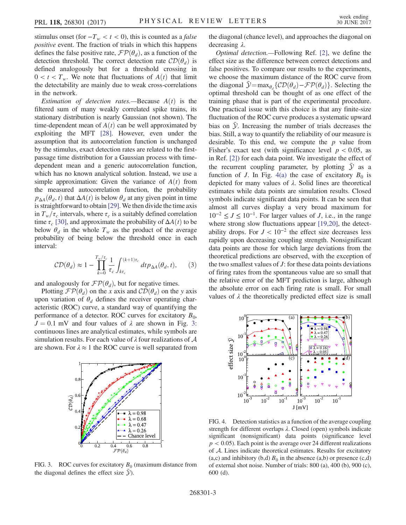stimulus onset (for  $-T_w < t < 0$ ), this is counted as a *false* positive event. The fraction of trials in which this happens defines the false positive rate,  $\mathcal{FP}(\theta_d)$ , as a function of the detection threshold. The correct detection rate  $CD(\theta_d)$  is defined analogously but for a threshold crossing in  $0 < t < T_w$ . We note that fluctuations of  $A(t)$  that limit the detectability are mainly due to weak cross-correlations in the network.

Estimation of detection rates.—Because  $A(t)$  is the filtered sum of many weakly correlated spike trains, its stationary distribution is nearly Gaussian (not shown). The time-dependent mean of  $A(t)$  can be well approximated by exploiting the MFT [\[28\]](#page-4-14). However, even under the assumption that its autocorrelation function is unchanged by the stimulus, exact detection rates are related to the firstpassage time distribution for a Gaussian process with timedependent mean and a generic autocorrelation function, which has no known analytical solution. Instead, we use a simple approximation: Given the variance of  $A(t)$  from the measured autocorrelation function, the probability  $p_{\Delta A}(\theta_d, t)$  that  $\Delta A(t)$  is below  $\theta_d$  at any given point in time is straightforward to obtain [\[29\].](#page-4-15) We then divide the time axis in  $T_w/\tau_c$  intervals, where  $\tau_c$  is a suitably defined correlation time  $\tau_c$  [\[30\]](#page-4-16), and approximate the probability of  $\Delta A(t)$  to be below  $\theta_d$  in the whole  $T_w$  as the product of the average probability of being below the threshold once in each interval:

$$
CD(\theta_d) \approx 1 - \prod_{k=0}^{T_w/\tau_c} \frac{1}{\tau_c} \int_{k\tau_c}^{(k+1)\tau_c} dt p_{\Delta A}(\theta_d, t), \qquad (3)
$$

and analogously for  $\mathcal{FP}(\theta_d)$ , but for negative times.

Plotting  $\mathcal{FP}(\theta_d)$  on the x axis and  $\mathcal{CD}(\theta_d)$  on the y axis upon variation of  $\theta_d$  defines the receiver operating characteristic (ROC) curve, a standard way of quantifying the performance of a detector. ROC curves for excitatory  $B_0$ ,  $J = 0.1$  mV and four values of  $\lambda$  are shown in Fig. [3](#page-2-0): continuous lines are analytical estimates, while symbols are simulation results. For each value of  $\lambda$  four realizations of  $\mathcal A$ are shown. For  $\lambda \approx 1$  the ROC curve is well separated from

<span id="page-2-0"></span>

FIG. 3. ROC curves for excitatory  $B_0$  (maximum distance from the diagonal defines the effect size  $\bar{y}$ ).

the diagonal (chance level), and approaches the diagonal on decreasing λ.

Optimal detection.—Following Ref. [\[2\]](#page-3-1), we define the effect size as the difference between correct detections and false positives. To compare our results to the experiments, we choose the maximum distance of the ROC curve from the diagonal  $\bar{\mathcal{Y}} = \max_{\theta_d} \{CD(\theta_d) - \mathcal{FP}(\theta_d)\}\.$  Selecting the optimal threshold can be thought of as one effect of the training phase that is part of the experimental procedure. One practical issue with this choice is that any finite-size fluctuation of the ROC curve produces a systematic upward bias on *y*. Increasing the number of trials decreases the bias. Still, a way to quantify the reliability of our measure is desirable. To this end, we compute the  $p$  value from Fisher's exact test (with significance level  $p < 0.05$ , as in Ref. [\[2\]](#page-3-1)) for each data point. We investigate the effect of the recurrent coupling parameter, by plotting  $\bar{y}$  as a function of J. In Fig. [4\(a\)](#page-2-1) the case of excitatory  $B_0$  is depicted for many values of  $\lambda$ . Solid lines are theoretical estimates while data points are simulation results. Closed symbols indicate significant data points. It can be seen that almost all curves display a very broad maximum for  $10^{-2} \leq J \leq 10^{-1}$ . For larger values of J, i.e., in the range where strong slow fluctuations appear [\[19,20\],](#page-4-10) the detectability drops. For  $J < 10^{-2}$  the effect size decreases less rapidly upon decreasing coupling strength. Nonsignificant data points are those for which large deviations from the theoretical predictions are observed, with the exception of the two smallest values of  $J$ : for these data points deviations of firing rates from the spontaneous value are so small that the relative error of the MFT prediction is large, although the absolute error on each firing rate is small. For small values of  $\lambda$  the theoretically predicted effect size is small

<span id="page-2-1"></span>

FIG. 4. Detection statistics as a function of the average coupling strength for different overlaps  $\lambda$ . Closed (open) symbols indicate significant (nonsignificant) data points (significance level  $p < 0.05$ ). Each point is the average over 24 different realizations of A. Lines indicate theoretical estimates. Results for excitatory (a,c) and inhibitory (b,d)  $B_0$  in the absence (a,b) or presence (c,d) of external shot noise. Number of trials: 800 (a), 400 (b), 900 (c), 600 (d).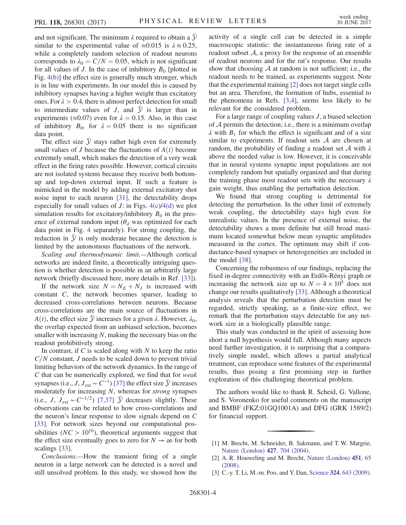and not significant. The minimum  $\lambda$  required to obtain a  $\mathcal Y$ similar to the experimental value of  $\approx 0.015$  is  $\lambda \approx 0.25$ , while a completely random selection of readout neurons corresponds to  $\lambda_0 = C/N = 0.05$ , which is not significant for all values of J. In the case of inhibitory  $B_0$  [plotted in Fig. [4\(b\)\]](#page-2-1) the effect size is generally much stronger, which is in line with experiments. In our model this is caused by inhibitory synapses having a higher weight than excitatory ones. For  $\lambda > 0.4$ , there is almost perfect detection for small to intermediate values of J, and  $\overline{y}$  is larger than in experiments ( $\approx 0.07$ ) even for  $\lambda = 0.15$ . Also, in this case of inhibitory  $B_0$ , for  $\lambda = 0.05$  there is no significant data point.

The effect size  $\bar{y}$  stays rather high even for extremely small values of J because the fluctuations of  $A(t)$  become extremely small, which makes the detection of a very weak effect in the firing rates possible. However, cortical circuits are not isolated systems because they receive both bottomup and top-down external input. If such a feature is mimicked in the model by adding external excitatory shot noise input to each neuron [\[31\],](#page-4-17) the detectability drops especially for small values of  $J$ : in Figs.  $4(c)/4(d)$  we plot simulation results for excitatory/inhibitory  $B_0$  in the presence of external random input ( $\theta_d$  was optimized for each data point in Fig. [4](#page-2-1) separately). For strong coupling, the reduction in  $\bar{y}$  is only moderate because the detection is limited by the autonomous fluctuations of the network.

Scaling and thermodynamic limit.—Although cortical networks are indeed finite, a theoretically intriguing question is whether detection is possible in an arbitrarily large network (briefly discussed here, more details in Ref. [\[33\]](#page-4-18)).

If the network size  $N = N_E + N_I$  is increased with constant C, the network becomes sparser, leading to decreased cross-correlations between neurons. Because cross-correlations are the main source of fluctuations in  $A(t)$ , the effect size  $\mathcal Y$  increases for a given  $\lambda$ . However,  $\lambda_0$ , the overlap expected from an unbiased selection, becomes smaller with increasing  $N$ , making the necessary bias on the readout prohibitively strong.

In contrast, if  $C$  is scaled along with  $N$  to keep the ratio  $C/N$  constant, J needs to be scaled down to prevent trivial limiting behaviors of the network dynamics. In the range of C that can be numerically explored, we find that for weak synapses (i.e., *J*,  $J_{ext} \sim C^{-1}$ ) [\[37\]](#page-4-19) the effect size  $\bar{y}$  increases moderately for increasing N, whereas for strong synapses (i.e., *J*,  $J_{ext}$  ∼  $C^{-1/2}$ ) [\[7,37\]](#page-4-1)  $\bar{y}$  decreases slightly. These observations can be related to how cross-correlations and the neuron's linear response to slow signals depend on C [\[33\]](#page-4-18). For network sizes beyond our computational possibilities ( $NC > 10^{10}$ ), theoretical arguments suggest that the effect size eventually goes to zero for  $N \to \infty$  for both scalings [\[33\]](#page-4-18).

Conclusions.—How the transient firing of a single neuron in a large network can be detected is a novel and still unsolved problem. In this study, we showed how the activity of a single cell can be detected in a simple macroscopic statistic: the instantaneous firing rate of a readout subset  $A$ , a proxy for the response of an ensemble of readout neurons and for the rat's response. Our results show that choosing  $A$  at random is not sufficient; i.e., the readout needs to be trained, as experiments suggest. Note that the experimental training [\[2\]](#page-3-1) does not target single cells but an area. Therefore, the formation of hubs, essential to the phenomena in Refs. [\[3,4\]](#page-3-2), seems less likely to be relevant for the considered problem.

For a large range of coupling values  $J$ , a biased selection of  $A$  permits the detection; i.e., there is a minimum overlap  $\lambda$  with  $B_1$  for which the effect is significant and of a size similar to experiments. If readout sets  $A$  are chosen at random, the probability of finding a readout set A with  $\lambda$ above the needed value is low. However, it is conceivable that in neural systems synaptic input populations are not completely random but spatially organized and that during the training phase most readout sets with the necessary  $\lambda$ gain weight, thus enabling the perturbation detection.

We found that strong coupling is detrimental for detecting the perturbation. In the other limit of extremely weak coupling, the detectability stays high even for unrealistic values. In the presence of external noise, the detectability shows a more definite but still broad maximum located somewhat below mean synaptic amplitudes measured in the cortex. The optimum may shift if conductance-based synapses or heterogeneities are included in the model [\[38\]](#page-4-20).

Concerning the robustness of our findings, replacing the fixed in-degree connectivity with an Erdős-Rényi graph or increasing the network size up to  $N = 4 \times 10^5$  does not change our results qualitatively [\[33\]](#page-4-18). Although a theoretical analysis reveals that the perturbation detection must be regarded, strictly speaking, as a finite-size effect, we remark that the perturbation stays detectable for any network size in a biologically plausible range.

This study was conducted in the spirit of assessing how short a null hypothesis would fall. Although many aspects need further investigation, it is surprising that a comparatively simple model, which allows a partial analytical treatment, can reproduce some features of the experimental results, thus posing a first promising step in further exploration of this challenging theoretical problem.

The authors would like to thank R. Scheid, G. Vallone, and S. Voronenko for useful comments on the manuscript and BMBF (FKZ:01GQ1001A) and DFG (GRK 1589/2) for financial support.

- <span id="page-3-1"></span>[2] A. R. Houweling and M. Brecht, [Nature \(London\)](https://doi.org/10.1038/nature06447) 451, 65 [\(2008\).](https://doi.org/10.1038/nature06447)
- <span id="page-3-2"></span>[3] C.-y. T. Li, M.-m. Poo, and Y. Dan, Science 324[, 643 \(2009\).](https://doi.org/10.1126/science.1169957)

<span id="page-3-0"></span><sup>[1]</sup> M. Brecht, M. Schneider, B. Sakmann, and T. W. Margrie, [Nature \(London\)](https://doi.org/10.1038/nature02266) 427, 704 (2004).